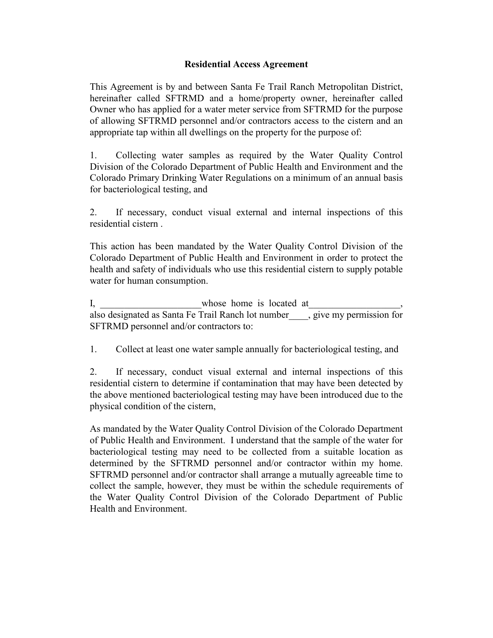## **Residential Access Agreement**

This Agreement is by and between Santa Fe Trail Ranch Metropolitan District, hereinafter called SFTRMD and a home/property owner, hereinafter called Owner who has applied for a water meter service from SFTRMD for the purpose of allowing SFTRMD personnel and/or contractors access to the cistern and an appropriate tap within all dwellings on the property for the purpose of:

1. Collecting water samples as required by the Water Quality Control Division of the Colorado Department of Public Health and Environment and the Colorado Primary Drinking Water Regulations on a minimum of an annual basis for bacteriological testing, and

2. If necessary, conduct visual external and internal inspections of this residential cistern .

This action has been mandated by the Water Quality Control Division of the Colorado Department of Public Health and Environment in order to protect the health and safety of individuals who use this residential cistern to supply potable water for human consumption.

I, whose home is located at also designated as Santa Fe Trail Ranch lot number\_\_\_\_, give my permission for SFTRMD personnel and/or contractors to:

1. Collect at least one water sample annually for bacteriological testing, and

2. If necessary, conduct visual external and internal inspections of this residential cistern to determine if contamination that may have been detected by the above mentioned bacteriological testing may have been introduced due to the physical condition of the cistern,

As mandated by the Water Quality Control Division of the Colorado Department of Public Health and Environment. I understand that the sample of the water for bacteriological testing may need to be collected from a suitable location as determined by the SFTRMD personnel and/or contractor within my home. SFTRMD personnel and/or contractor shall arrange a mutually agreeable time to collect the sample, however, they must be within the schedule requirements of the Water Quality Control Division of the Colorado Department of Public Health and Environment.